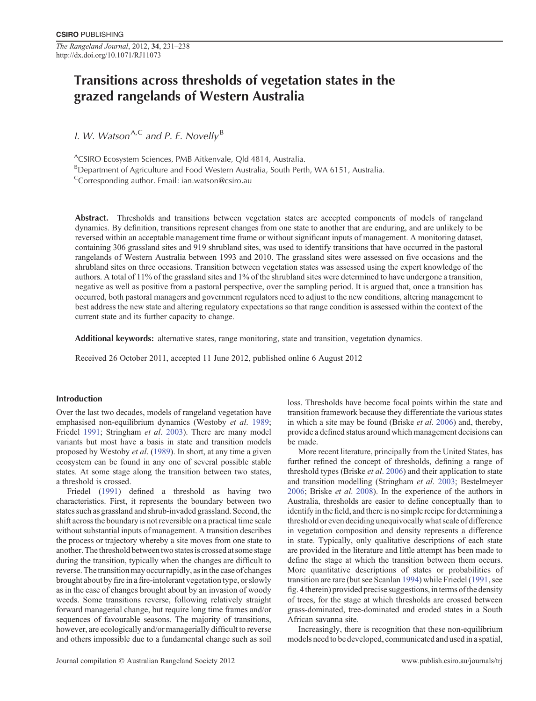*The Rangeland Journal*, 2012, **34**, 231–238 http://dx.doi.org/10.1071/RJ11073

# **Transitions across thresholds of vegetation states in the grazed rangelands of Western Australia**

*I. W. Watson*<sup>A,C</sup> and P. E. Novelly<sup>B</sup>

ACSIRO Ecosystem Sciences, PMB Aitkenvale, Qld 4814, Australia.

<sup>B</sup>Department of Agriculture and Food Western Australia, South Perth, WA 6151, Australia.

<sup>C</sup>Corresponding author. Email: [ian.watson@csiro.au](mailto:ian.watson@csiro.au)

**Abstract.** Thresholds and transitions between vegetation states are accepted components of models of rangeland dynamics. By definition, transitions represent changes from one state to another that are enduring, and are unlikely to be reversed within an acceptable management time frame or without significant inputs of management. A monitoring dataset, containing 306 grassland sites and 919 shrubland sites, was used to identify transitions that have occurred in the pastoral rangelands of Western Australia between 1993 and 2010. The grassland sites were assessed on five occasions and the shrubland sites on three occasions. Transition between vegetation states was assessed using the expert knowledge of the authors. A total of 11% of the grassland sites and 1% of the shrubland sites were determined to have undergone a transition, negative as well as positive from a pastoral perspective, over the sampling period. It is argued that, once a transition has occurred, both pastoral managers and government regulators need to adjust to the new conditions, altering management to best address the new state and altering regulatory expectations so that range condition is assessed within the context of the current state and its further capacity to change.

**Additional keywords:** alternative states, range monitoring, state and transition, vegetation dynamics.

Received 26 October 2011, accepted 11 June 2012, published online 6 August 2012

## **Introduction**

Over the last two decades, models of rangeland vegetation have emphasised non-equilibrium dynamics (Westoby *et al*. [1989;](#page-7-0) Friedel [1991](#page-7-0); Stringham *et al*. [2003](#page-7-0)). There are many model variants but most have a basis in state and transition models proposed by Westoby *et al*. [\(1989](#page-7-0)). In short, at any time a given ecosystem can be found in any one of several possible stable states. At some stage along the transition between two states, a threshold is crossed.

Friedel ([1991](#page-7-0)) defined a threshold as having two characteristics. First, it represents the boundary between two states such as grassland and shrub-invaded grassland. Second, the shift across the boundary is not reversible on a practical time scale without substantial inputs of management. A transition describes the process or trajectory whereby a site moves from one state to another. The threshold between two states is crossed at some stage during the transition, typically when the changes are difficult to reverse. The transition may occur rapidly, as in the case of changes brought about by fire in a fire-intolerant vegetation type, or slowly as in the case of changes brought about by an invasion of woody weeds. Some transitions reverse, following relatively straight forward managerial change, but require long time frames and/or sequences of favourable seasons. The majority of transitions, however, are ecologically and/or managerially difficult to reverse and others impossible due to a fundamental change such as soil loss. Thresholds have become focal points within the state and transition framework because they differentiate the various states in which a site may be found (Briske *et al*. [2006\)](#page-7-0) and, thereby, provide a defined status around which management decisions can be made.

More recent literature, principally from the United States, has further refined the concept of thresholds, defining a range of threshold types (Briske *et al*. [2006\)](#page-7-0) and their application to state and transition modelling (Stringham *et al*. [2003;](#page-7-0) Bestelmeyer [2006](#page-7-0); Briske *et al*. [2008\)](#page-7-0). In the experience of the authors in Australia, thresholds are easier to define conceptually than to identify in the field, and there is no simple recipe for determining a threshold or even deciding unequivocally what scale of difference in vegetation composition and density represents a difference in state. Typically, only qualitative descriptions of each state are provided in the literature and little attempt has been made to define the stage at which the transition between them occurs. More quantitative descriptions of states or probabilities of transition are rare (but see Scanlan [1994\)](#page-7-0) while Friedel ([1991,](#page-7-0) see fig. 4therein) provided precise suggestions, interms of the density of trees, for the stage at which thresholds are crossed between grass-dominated, tree-dominated and eroded states in a South African savanna site.

Increasingly, there is recognition that these non-equilibrium models needto be developed, communicated and used in a spatial,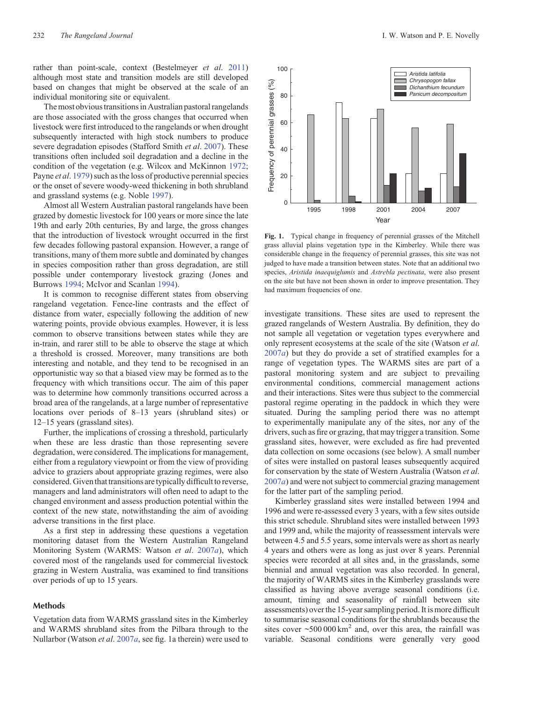<span id="page-1-0"></span>rather than point-scale, context (Bestelmeyer *et al*. [2011\)](#page-7-0) although most state and transition models are still developed based on changes that might be observed at the scale of an individual monitoring site or equivalent.

The most obvious transitions in Australian pastoral rangelands are those associated with the gross changes that occurred when livestock were first introduced to the rangelands or when drought subsequently interacted with high stock numbers to produce severe degradation episodes (Stafford Smith *et al*. [2007\)](#page-7-0). These transitions often included soil degradation and a decline in the condition of the vegetation (e.g. Wilcox and McKinnon [1972](#page-7-0); Payne *et al*. [1979\)](#page-7-0) such as the loss of productive perennial species or the onset of severe woody-weed thickening in both shrubland and grassland systems (e.g. Noble [1997](#page-7-0)).

Almost all Western Australian pastoral rangelands have been grazed by domestic livestock for 100 years or more since the late 19th and early 20th centuries, By and large, the gross changes that the introduction of livestock wrought occurred in the first few decades following pastoral expansion. However, a range of transitions, many of them more subtle and dominated by changes in species composition rather than gross degradation, are still possible under contemporary livestock grazing (Jones and Burrows [1994;](#page-7-0) McIvor and Scanlan [1994](#page-7-0)).

It is common to recognise different states from observing rangeland vegetation. Fence-line contrasts and the effect of distance from water, especially following the addition of new watering points, provide obvious examples. However, it is less common to observe transitions between states while they are in-train, and rarer still to be able to observe the stage at which a threshold is crossed. Moreover, many transitions are both interesting and notable, and they tend to be recognised in an opportunistic way so that a biased view may be formed as to the frequency with which transitions occur. The aim of this paper was to determine how commonly transitions occurred across a broad area of the rangelands, at a large number of representative locations over periods of 8–13 years (shrubland sites) or 12–15 years (grassland sites).

Further, the implications of crossing a threshold, particularly when these are less drastic than those representing severe degradation, were considered. The implications for management, either from a regulatory viewpoint or from the view of providing advice to graziers about appropriate grazing regimes, were also considered. Given that transitions are typically difficult to reverse, managers and land administrators will often need to adapt to the changed environment and assess production potential within the context of the new state, notwithstanding the aim of avoiding adverse transitions in the first place.

As a first step in addressing these questions a vegetation monitoring dataset from the Western Australian Rangeland Monitoring System (WARMS: Watson *et al*. [2007](#page-7-0)*a*), which covered most of the rangelands used for commercial livestock grazing in Western Australia, was examined to find transitions over periods of up to 15 years.

#### **Methods**

Vegetation data from WARMS grassland sites in the Kimberley and WARMS shrubland sites from the Pilbara through to the Nullarbor (Watson *et al*. [2007](#page-7-0)*a*, see fig. 1a therein) were used to

Year **Fig. 1.** Typical change in frequency of perennial grasses of the Mitchell grass alluvial plains vegetation type in the Kimberley. While there was considerable change in the frequency of perennial grasses, this site was not judged to have made a transition between states. Note that an additional two species, *Aristida inaequiglumis* and *Astrebla pectinata*, were also present

on the site but have not been shown in order to improve presentation. They

had maximum frequencies of one.

investigate transitions. These sites are used to represent the grazed rangelands of Western Australia. By definition, they do not sample all vegetation or vegetation types everywhere and only represent ecosystems at the scale of the site (Watson *et al*. [2007](#page-7-0)*a*) but they do provide a set of stratified examples for a range of vegetation types. The WARMS sites are part of a pastoral monitoring system and are subject to prevailing environmental conditions, commercial management actions and their interactions. Sites were thus subject to the commercial pastoral regime operating in the paddock in which they were situated. During the sampling period there was no attempt to experimentally manipulate any of the sites, nor any of the drivers, such as fire or grazing, that may trigger a transition. Some grassland sites, however, were excluded as fire had prevented data collection on some occasions (see below). A small number of sites were installed on pastoral leases subsequently acquired for conservation by the state of Western Australia (Watson *et al*. [2007](#page-7-0)*a*) and were not subject to commercial grazing management for the latter part of the sampling period.

Kimberley grassland sites were installed between 1994 and 1996 and were re-assessed every 3 years, with a few sites outside this strict schedule. Shrubland sites were installed between 1993 and 1999 and, while the majority of reassessment intervals were between 4.5 and 5.5 years, some intervals were as short as nearly 4 years and others were as long as just over 8 years. Perennial species were recorded at all sites and, in the grasslands, some biennial and annual vegetation was also recorded. In general, the majority of WARMS sites in the Kimberley grasslands were classified as having above average seasonal conditions (i.e. amount, timing and seasonality of rainfall between site assessments) over the 15-year sampling period. It is more difficult to summarise seasonal conditions for the shrublands because the sites cover  $\sim$  500 000 km<sup>2</sup> and, over this area, the rainfall was variable. Seasonal conditions were generally very good

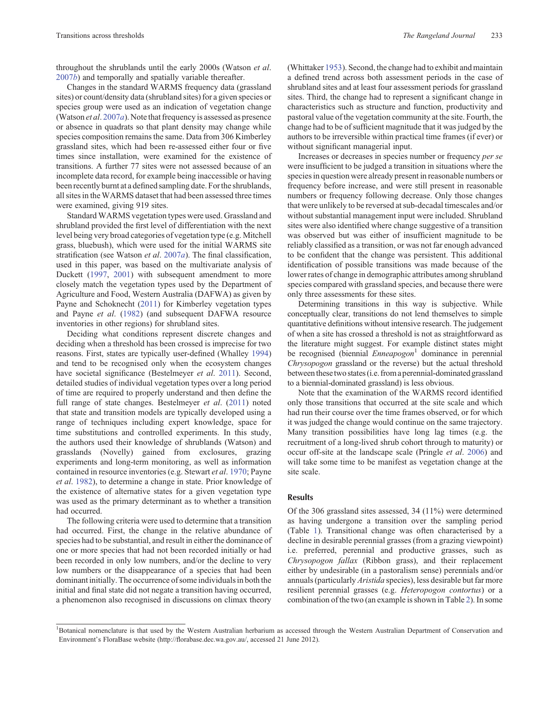throughout the shrublands until the early 2000s (Watson *et al*. [2007](#page-7-0)*b*) and temporally and spatially variable thereafter.

Changes in the standard WARMS frequency data (grassland sites) or count/density data (shrubland sites) for a given species or species group were used as an indication of vegetation change (Watson *et al*. [2007](#page-7-0)*a*). Note that frequency is assessed as presence or absence in quadrats so that plant density may change while species composition remains the same. Data from 306 Kimberley grassland sites, which had been re-assessed either four or five times since installation, were examined for the existence of transitions. A further 77 sites were not assessed because of an incomplete data record, for example being inaccessible or having been recently burnt at a defined sampling date. For the shrublands, all sites in the WARMS dataset that had been assessed three times were examined, giving 919 sites.

Standard WARMS vegetation types were used. Grassland and shrubland provided the first level of differentiation with the next level being very broad categories of vegetation type (e.g. Mitchell grass, bluebush), which were used for the initial WARMS site stratification (see Watson *et al*. [2007](#page-7-0)*a*). The final classification, used in this paper, was based on the multivariate analysis of Duckett ([1997,](#page-7-0) [2001](#page-7-0)) with subsequent amendment to more closely match the vegetation types used by the Department of Agriculture and Food, Western Australia (DAFWA) as given by Payne and Schoknecht [\(2011](#page-7-0)) for Kimberley vegetation types and Payne *et al*. ([1982\)](#page-7-0) (and subsequent DAFWA resource inventories in other regions) for shrubland sites.

Deciding what conditions represent discrete changes and deciding when a threshold has been crossed is imprecise for two reasons. First, states are typically user-defined (Whalley [1994](#page-7-0)) and tend to be recognised only when the ecosystem changes have societal significance (Bestelmeyer *et al*. [2011](#page-7-0)). Second, detailed studies of individual vegetation types over a long period of time are required to properly understand and then define the full range of state changes. Bestelmeyer *et al*. [\(2011](#page-7-0)) noted that state and transition models are typically developed using a range of techniques including expert knowledge, space for time substitutions and controlled experiments. In this study, the authors used their knowledge of shrublands (Watson) and grasslands (Novelly) gained from exclosures, grazing experiments and long-term monitoring, as well as information contained in resource inventories (e.g. Stewart *et al*. [1970](#page-7-0); Payne *et al*. [1982\)](#page-7-0), to determine a change in state. Prior knowledge of the existence of alternative states for a given vegetation type was used as the primary determinant as to whether a transition had occurred.

The following criteria were used to determine that a transition had occurred. First, the change in the relative abundance of species had to be substantial, and result in either the dominance of one or more species that had not been recorded initially or had been recorded in only low numbers, and/or the decline to very low numbers or the disappearance of a species that had been dominant initially. The occurrence of some individuals in both the initial and final state did not negate a transition having occurred, a phenomenon also recognised in discussions on climax theory

(Whittaker [1953](#page-7-0)). Second, the change had to exhibit and maintain a defined trend across both assessment periods in the case of shrubland sites and at least four assessment periods for grassland sites. Third, the change had to represent a significant change in characteristics such as structure and function, productivity and pastoral value of the vegetation community at the site. Fourth, the change had to be of sufficient magnitude that it was judged by the authors to be irreversible within practical time frames (if ever) or without significant managerial input.

Increases or decreases in species number or frequency *per se* were insufficient to be judged a transition in situations where the species in question were already present in reasonable numbers or frequency before increase, and were still present in reasonable numbers or frequency following decrease. Only those changes that were unlikely to be reversed at sub-decadal timescales and/or without substantial management input were included. Shrubland sites were also identified where change suggestive of a transition was observed but was either of insufficient magnitude to be reliably classified as a transition, or was not far enough advanced to be confident that the change was persistent. This additional identification of possible transitions was made because of the lower rates of change in demographic attributes among shrubland species compared with grassland species, and because there were only three assessments for these sites.

Determining transitions in this way is subjective. While conceptually clear, transitions do not lend themselves to simple quantitative definitions without intensive research. The judgement of when a site has crossed a threshold is not as straightforward as the literature might suggest. For example distinct states might be recognised (biennial *Enneapogon*<sup>1</sup> dominance in perennial *Chrysopogon* grassland or the reverse) but the actual threshold betweenthesetwo states (i.e. from a perennial-dominated grassland to a biennial-dominated grassland) is less obvious.

Note that the examination of the WARMS record identified only those transitions that occurred at the site scale and which had run their course over the time frames observed, or for which it was judged the change would continue on the same trajectory. Many transition possibilities have long lag times (e.g. the recruitment of a long-lived shrub cohort through to maturity) or occur off-site at the landscape scale (Pringle *et al*. [2006](#page-7-0)) and will take some time to be manifest as vegetation change at the site scale.

#### **Results**

Of the 306 grassland sites assessed, 34 (11%) were determined as having undergone a transition over the sampling period (Table [1](#page-3-0)). Transitional change was often characterised by a decline in desirable perennial grasses (from a grazing viewpoint) i.e. preferred, perennial and productive grasses, such as *Chrysopogon fallax* (Ribbon grass), and their replacement either by undesirable (in a pastoralism sense) perennials and/or annuals (particularly *Aristida* species), less desirable but far more resilient perennial grasses (e.g. *Heteropogon contortus*) or a combination of the two (an example is shown in Table [2](#page-3-0)). In some

<sup>&</sup>lt;sup>1</sup>Botanical nomenclature is that used by the Western Australian herbarium as accessed through the Western Australian Department of Conservation and Environment's FloraBase website (http://florabase.dec.wa.gov.au/, accessed 21 June 2012).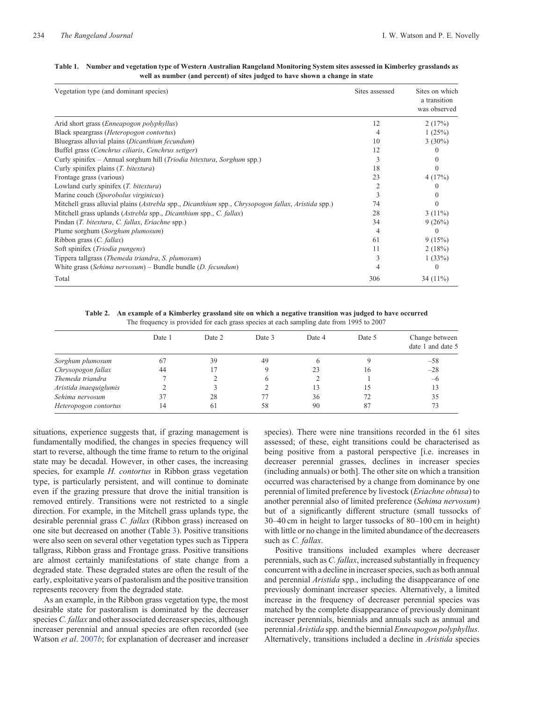| Vegetation type (and dominant species)                                                             | Sites assessed | Sites on which<br>a transition<br>was observed |
|----------------------------------------------------------------------------------------------------|----------------|------------------------------------------------|
| Arid short grass ( <i>Enneapogon polyphyllus</i> )                                                 | 12             | 2(17%)                                         |
| Black speargrass (Heteropogon contortus)                                                           |                | 1(25%)                                         |
| Bluegrass alluvial plains ( <i>Dicanthium fecundum</i> )                                           | 10             | $3(30\%)$                                      |
| Buffel grass (Cenchrus ciliaris, Cenchrus setiger)                                                 | 12             | $\Omega$                                       |
| Curly spinifex – Annual sorghum hill ( <i>Triodia bitextura, Sorghum</i> spp.)                     |                | $\Omega$                                       |
| Curly spinifex plains (T. bitextura)                                                               | 18             | 0                                              |
| Frontage grass (various)                                                                           | 23             | 4(17%)                                         |
| Lowland curly spinifex ( <i>T. bitextura</i> )                                                     |                | $\Omega$                                       |
| Marine couch (Sporobolus virginicus)                                                               | 3              |                                                |
| Mitchell grass alluvial plains (Astrebla spp., Dicanthium spp., Chrysopogon fallax, Aristida spp.) | 74             | $\Omega$                                       |
| Mitchell grass uplands (Astrebla spp., Dicanthium spp., C. fallax)                                 | 28             | $3(11\%)$                                      |
| Pindan (T. bitextura, C. fallax, Eriachne spp.)                                                    | 34             | 9(26%)                                         |
| Plume sorghum (Sorghum plumosum)                                                                   | 4              | 0                                              |
| Ribbon grass $(C.$ <i>fallax</i> $)$                                                               | 61             | 9(15%)                                         |
| Soft spinifex (Triodia pungens)                                                                    | 11             | 2(18%)                                         |
| Tippera tallgrass (Themeda triandra, S. plumosum)                                                  | 3              | 1(33%)                                         |
| White grass (Sehima nervosum) – Bundle bundle (D. fecundum)                                        |                | 0                                              |
| Total                                                                                              | 306            | 34 $(11\%)$                                    |

#### <span id="page-3-0"></span>**Table 1. Number and vegetation type of Western Australian Rangeland Monitoring System sites assessed in Kimberley grasslands as well as number (and percent) of sites judged to have shown a change in state**

**Table 2. An example of a Kimberley grassland site on which a negative transition was judged to have occurred** The frequency is provided for each grass species at each sampling date from 1995 to 2007

|                        | Date 1 | Date 2 | Date 3 | Date 4 | Date 5 | Change between<br>date 1 and date 5 |
|------------------------|--------|--------|--------|--------|--------|-------------------------------------|
| Sorghum plumosum       | 67     | 39     | 49     |        |        | $-58$                               |
| Chrysopogon fallax     | 44     |        |        | 23     | 16     | $-28$                               |
| Themeda triandra       |        |        |        |        |        | $-6$                                |
| Aristida inaequiglumis |        |        |        | 13     |        | 13                                  |
| Sehima nervosum        | 37     | 28     |        | 36     | 72     | 35                                  |
| Heteropogon contortus  | 14     | 61     | 58     | 90     | 87     | 73                                  |

situations, experience suggests that, if grazing management is fundamentally modified, the changes in species frequency will start to reverse, although the time frame to return to the original state may be decadal. However, in other cases, the increasing species, for example *H. contortus* in Ribbon grass vegetation type, is particularly persistent, and will continue to dominate even if the grazing pressure that drove the initial transition is removed entirely. Transitions were not restricted to a single direction. For example, in the Mitchell grass uplands type, the desirable perennial grass *C. fallax* (Ribbon grass) increased on one site but decreased on another (Table [3](#page-4-0)). Positive transitions were also seen on several other vegetation types such as Tippera tallgrass, Ribbon grass and Frontage grass. Positive transitions are almost certainly manifestations of state change from a degraded state. These degraded states are often the result of the early, exploitative years of pastoralism and the positive transition represents recovery from the degraded state.

As an example, in the Ribbon grass vegetation type, the most desirable state for pastoralism is dominated by the decreaser species *C. fallax* and other associated decreaser species, although increaser perennial and annual species are often recorded (see Watson *et al*. [2007](#page-7-0)*b*; for explanation of decreaser and increaser species). There were nine transitions recorded in the 61 sites assessed; of these, eight transitions could be characterised as being positive from a pastoral perspective [i.e. increases in decreaser perennial grasses, declines in increaser species (including annuals) or both]. The other site on which a transition occurred was characterised by a change from dominance by one perennial of limited preference by livestock (*Eriachne obtusa*) to another perennial also of limited preference (*Sehima nervosum*) but of a significantly different structure (small tussocks of 30–40 cm in height to larger tussocks of 80–100 cm in height) with little or no change in the limited abundance of the decreasers such as *C. fallax*.

Positive transitions included examples where decreaser perennials, such as *C. fallax*, increased substantially in frequency concurrent with a decline in increaser species, such as both annual and perennial *Aristida* spp., including the disappearance of one previously dominant increaser species. Alternatively, a limited increase in the frequency of decreaser perennial species was matched by the complete disappearance of previously dominant increaser perennials, biennials and annuals such as annual and perennial *Aristida* spp. and the biennial *Enneapogon polyphyllus*. Alternatively, transitions included a decline in *Aristida* species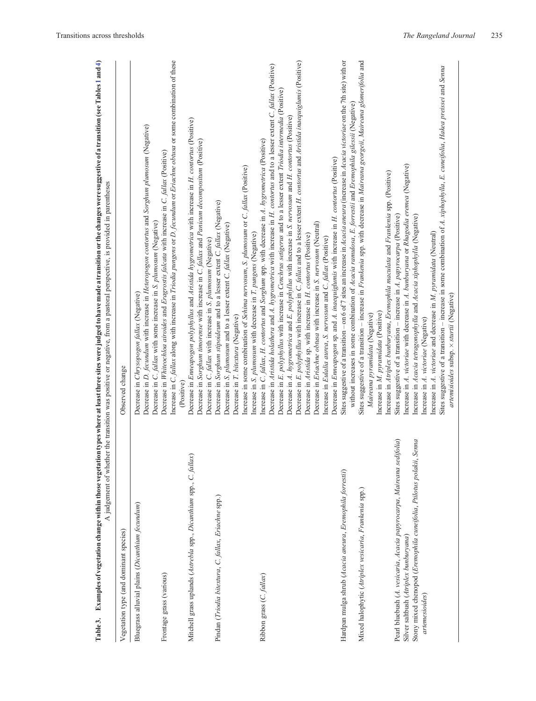|                                                                                                                                                                                                             | A judgement of whether the transition was positive or negative, from a pastoral perspective, is provided in parentheses                                                                                                                                                                                                                                                                                                                                                                                                         |
|-------------------------------------------------------------------------------------------------------------------------------------------------------------------------------------------------------------|---------------------------------------------------------------------------------------------------------------------------------------------------------------------------------------------------------------------------------------------------------------------------------------------------------------------------------------------------------------------------------------------------------------------------------------------------------------------------------------------------------------------------------|
| Vegetation type (and dominant species)                                                                                                                                                                      | Observed change                                                                                                                                                                                                                                                                                                                                                                                                                                                                                                                 |
| Bluegrass alluvial plains (Dicanthium fecundum)                                                                                                                                                             | Decrease in D. fecundum with increase in Heteropogon contortus and Sorghum plumosum (Negative)<br>Decrease in C. fallax with some increase in S. plumosum (Negative)<br>Decrease in Chrysopogon fallax (Negative)                                                                                                                                                                                                                                                                                                               |
| Frontage grass (various)                                                                                                                                                                                    | Increase in C. fallax along with increase in Triodia pungens or D. fecundum or Eriachne obtusa or some combination of these<br>Decrease in Whiteochloa airoides and Eragrostis falcata with increase in C. fallax (Positive)<br>(Positive)                                                                                                                                                                                                                                                                                      |
| Mitchell grass uplands (Astrebla spp., Dicanthium spp., C. fallax)                                                                                                                                          | Decrease in Enneapogon polyphyllus and Aristida hygrometrica with increase in H. contortus (Positive)<br>Decrease in Sorghum timorense with increase in C. fallax and Panicum decompositum (Positive)<br>Decrease in C. fallax with increase in S. plumosum (Negative)                                                                                                                                                                                                                                                          |
| Pindan (Triodia bitextura, C. fallax, Eriachne spp.)                                                                                                                                                        | Decrease in Sorghum stipoideum and to a lesser extent C. fallax (Negative)<br>Decrease in S. plumosum and to a lesser extent C. fallax (Negative)<br>Decrease in T. bitextura (Negative)                                                                                                                                                                                                                                                                                                                                        |
|                                                                                                                                                                                                             | Increase in some combination of Sehima nervosum, S. plumosum or C. fallax (Positive)<br>Increase in S. plumosum with decrease in T. pungens (Negative)                                                                                                                                                                                                                                                                                                                                                                          |
| Ribbon grass (C. fallax)                                                                                                                                                                                    | Decrease in Aristida holathera and A. hygrometrica with increase in H. contortus and to a lesser extent C. fallax (Positive)<br>Decrease in E. polyphyllus with increase in Cenchrus setigerus and to a lesser extent Triodia intermedia (Positive)<br>Decrease in A. hygrometrica and E. polyphyllus with increase in S. nervosum and H. contortus (Positive)<br>Increase in C. fallax, H. contortus and Sorghum spp. with decrease in A. hygrometrica (Positive)                                                              |
|                                                                                                                                                                                                             | Decrease in E. polyphyllus with increase in C. fallax and to a lesser extent H. contortus and Aristida inaequiglumis (Positive)<br>Decrease in Enneapogon sp. and A. inaequiglumis with increase in H. contortus (Positive)<br>Decrease in Eriachne obtusa with increase in S. nervosum (Neutral)<br>Decrease in Aristida sp. with increase in H. contortus (Positive)<br>Increase in Eulalia aurea, S. nervosum and C. fallax (Positive)                                                                                       |
| Hardpan mulga shrub (Acacia aneura, Eremophila forrestii)                                                                                                                                                   | Sites suggestive of a transition - on 6 of 7 sites an increase in Acacia aneura (increase in Acacia victoriae on the 7th site) with or<br>without increases in some combination of Acacia ramulosa, E. forrestii and Eremophila gilessii (Negative)                                                                                                                                                                                                                                                                             |
| Mixed halophytic (Atriplex vesicaria, Frankenia spp.)                                                                                                                                                       | Sites suggestive of a transition - increase in Frankenia spp. with decrease in Maireana georgeii, Maireana glomerifolia and<br>Increase in Atriplex bunburyana, Eremophila maculata and Frankenia spp. (Positive)<br>Increase in M. pyramidata (Positive)<br>Maireana pyramidata (Negative)                                                                                                                                                                                                                                     |
| Pearl bluebush (A. vesicaria, Acacia papyrocarpa, Maireana sedifolia)<br>Senna<br>Stony mixed chenopod (Eremophila cuneifolia, Ptilotus polakii,<br>Silver saltbush (Atriplex bunburyana)<br>artemesioides) | Sites suggestive of a transition - increase in some combination of A. xiphophylla, E. cuneifolia, Hakea preissei and Senna<br>Increase in A. victoriae with decrease in A. bunburyana or Rhagodia eremea (Negative)<br>Sites suggestive of a transition - increase in A. papyrocarpa (Positive)<br>Increase in Acacia tetragonophylla and Acacia xiphophylla (Negative)<br>Increase in A. victoriae and decrease in M. pyramidata (Neutral)<br>artemisioides subsp. × sturtii (Negative)<br>Increase in A. victoriae (Negative) |
|                                                                                                                                                                                                             |                                                                                                                                                                                                                                                                                                                                                                                                                                                                                                                                 |

<span id="page-4-0"></span>Table 3. Examples of vegetation change within those vegetation types where at least three sites were judged to have made a transition or the changes were suggestive of a transition (see Tables 1 and 4) Table 3. Examples of vegetation change within those vegetation types where at least three sites were judged to have made a transition or the changes were suggestive of a transition (see Tables [1](#page-3-0) and [4\)](#page-5-0)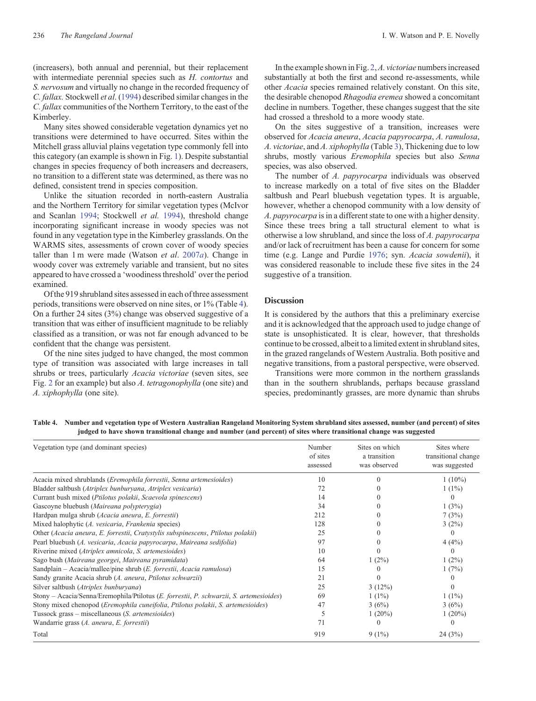<span id="page-5-0"></span>(increasers), both annual and perennial, but their replacement with intermediate perennial species such as *H. contortus* and *S. nervosum* and virtually no change in the recorded frequency of *C. fallax.* Stockwell *et al*. ([1994\)](#page-7-0) described similar changes in the *C. fallax* communities of the Northern Territory, to the east of the Kimberley.

Many sites showed considerable vegetation dynamics yet no transitions were determined to have occurred. Sites within the Mitchell grass alluvial plains vegetation type commonly fell into this category (an example is shown in Fig. [1](#page-1-0)). Despite substantial changes in species frequency of both increasers and decreasers, no transition to a different state was determined, as there was no defined, consistent trend in species composition.

Unlike the situation recorded in north-eastern Australia and the Northern Territory for similar vegetation types (McIvor and Scanlan [1994;](#page-7-0) Stockwell *et al.* [1994](#page-7-0)), threshold change incorporating significant increase in woody species was not found in any vegetation type in the Kimberley grasslands. On the WARMS sites, assessments of crown cover of woody species taller than 1 m were made (Watson *et al*. [2007](#page-7-0)*a*). Change in woody cover was extremely variable and transient, but no sites appeared to have crossed a 'woodiness threshold' over the period examined.

Of the 919 shrubland sites assessed in each of three assessment periods, transitions were observed on nine sites, or 1% (Table 4). On a further 24 sites (3%) change was observed suggestive of a transition that was either of insufficient magnitude to be reliably classified as a transition, or was not far enough advanced to be confident that the change was persistent.

Of the nine sites judged to have changed, the most common type of transition was associated with large increases in tall shrubs or trees, particularly *Acacia victoriae* (seven sites, see Fig. [2](#page-6-0) for an example) but also *A. tetragonophylla* (one site) and *A. xiphophylla* (one site).

In the example shown in Fig. [2](#page-6-0),*A. victoriae* numbers increased substantially at both the first and second re-assessments, while other *Acacia* species remained relatively constant. On this site, the desirable chenopod *Rhagodia eremea* showed a concomitant decline in numbers. Together, these changes suggest that the site had crossed a threshold to a more woody state.

On the sites suggestive of a transition, increases were observed for *Acacia aneura*, *Acacia papyrocarpa*, *A. ramulosa*, *A. victoriae*, and *A. xiphophylla* (Table [3\)](#page-4-0), Thickening due to low shrubs, mostly various *Eremophila* species but also *Senna* species, was also observed.

The number of *A. papyrocarpa* individuals was observed to increase markedly on a total of five sites on the Bladder saltbush and Pearl bluebush vegetation types. It is arguable, however, whether a chenopod community with a low density of *A. papyrocarpa* is in a different state to one with a higher density. Since these trees bring a tall structural element to what is otherwise a low shrubland, and since the loss of *A. papyrocarpa* and/or lack of recruitment has been a cause for concern for some time (e.g. Lange and Purdie [1976](#page-7-0); syn. *Acacia sowdenii*), it was considered reasonable to include these five sites in the 24 suggestive of a transition.

### **Discussion**

It is considered by the authors that this a preliminary exercise and it is acknowledged that the approach used to judge change of state is unsophisticated. It is clear, however, that thresholds continue to be crossed, albeit to a limited extent in shrubland sites, in the grazed rangelands of Western Australia. Both positive and negative transitions, from a pastoral perspective, were observed.

Transitions were more common in the northern grasslands than in the southern shrublands, perhaps because grassland species, predominantly grasses, are more dynamic than shrubs

**Table 4. Number and vegetation type of Western Australian Rangeland Monitoring System shrubland sites assessed, number (and percent) of sites judged to have shown transitional change and number (and percent) of sites where transitional change was suggested**

| Vegetation type (and dominant species)                                                  | Number<br>of sites<br>assessed | Sites on which<br>a transition<br>was observed | Sites where<br>transitional change<br>was suggested |
|-----------------------------------------------------------------------------------------|--------------------------------|------------------------------------------------|-----------------------------------------------------|
| Acacia mixed shrublands (Eremophila forrestii, Senna artemesioides)                     | 10                             |                                                | $1(10\%)$                                           |
| Bladder saltbush (Atriplex bunburyana, Atriplex vesicaria)                              | 72                             |                                                | $1(1\%)$                                            |
| Currant bush mixed (Ptilotus polakii, Scaevola spinescens)                              | 14                             |                                                | $\Omega$                                            |
| Gascoyne bluebush (Maireana polypterygia)                                               | 34                             |                                                | 1(3%)                                               |
| Hardpan mulga shrub (Acacia aneura, E. forrestii)                                       | 212                            |                                                | 7(3%)                                               |
| Mixed halophytic (A. vesicaria, Frankenia species)                                      | 128                            |                                                | 3(2%)                                               |
| Other (Acacia aneura, E. forrestii, Cratystylis subspinescens, Ptilotus polakii)        | 25                             |                                                | $\Omega$                                            |
| Pearl bluebush (A. vesicaria, Acacia papyrocarpa, Maireana sedifolia)                   | 97                             |                                                | 4(4%)                                               |
| Riverine mixed (Atriplex amnicola, S. artemesioides)                                    | 10                             |                                                | $\Omega$                                            |
| Sago bush (Maireana georgei, Maireana pyramidata)                                       | 64                             | $1(2\%)$                                       | $1(2\%)$                                            |
| Sandplain – Acacia/mallee/pine shrub (E. forrestii, Acacia ramulosa)                    | 15                             |                                                | 1(7%)                                               |
| Sandy granite Acacia shrub (A. aneura, Ptilotus schwarzii)                              | 21                             |                                                | $\theta$                                            |
| Silver saltbush (Atriplex bunburyana)                                                   | 25                             | 3(12%)                                         | $\Omega$                                            |
| Stony - Acacia/Senna/Eremophila/Ptilotus (E. forrestii, P. schwarzii, S. artemesioides) | 69                             | $1(1\%)$                                       | $1(1\%)$                                            |
| Stony mixed chenopod (Eremophila cuneifolia, Ptilotus polakii, S. artemesioides)        | 47                             | 3(6%)                                          | 3(6%)                                               |
| Tussock grass – miscellaneous (S. artemesioides)                                        |                                | $1(20\%)$                                      | $1(20\%)$                                           |
| Wandarrie grass (A. aneura, E. forrestii)                                               | 71                             |                                                |                                                     |
| Total                                                                                   | 919                            | $9(1\%)$                                       | 24(3%)                                              |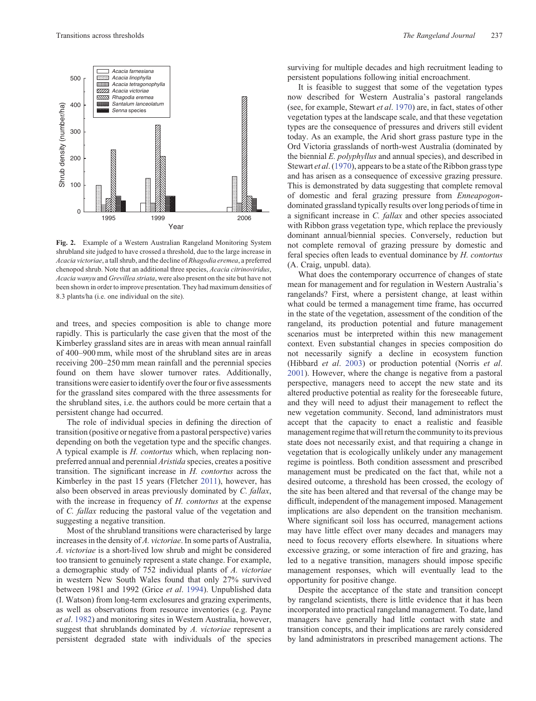<span id="page-6-0"></span>

**Fig. 2.** Example of a Western Australian Rangeland Monitoring System shrubland site judged to have crossed a threshold, due to the large increase in *Acacia victoriae*, a tall shrub, and the decline of *Rhagodia eremea*, a preferred chenopod shrub. Note that an additional three species, *Acacia citrinoviridus*, *Acacia wanyu* and *Grevillea striata*, were also present on the site but have not been shown in order to improve presentation. They had maximum densities of 8.3 plants/ha (i.e. one individual on the site).

and trees, and species composition is able to change more rapidly. This is particularly the case given that the most of the Kimberley grassland sites are in areas with mean annual rainfall of 400–900 mm, while most of the shrubland sites are in areas receiving 200–250 mm mean rainfall and the perennial species found on them have slower turnover rates. Additionally, transitions were easier to identify over the four or five assessments for the grassland sites compared with the three assessments for the shrubland sites, i.e. the authors could be more certain that a persistent change had occurred.

The role of individual species in defining the direction of transition (positive or negative from a pastoral perspective) varies depending on both the vegetation type and the specific changes. A typical example is *H. contortus* which, when replacing nonpreferred annual and perennial *Aristida* species, creates a positive transition. The significant increase in *H. contortus* across the Kimberley in the past 15 years (Fletcher [2011\)](#page-7-0), however, has also been observed in areas previously dominated by *C. fallax*, with the increase in frequency of *H. contortus* at the expense of *C. fallax* reducing the pastoral value of the vegetation and suggesting a negative transition.

Most of the shrubland transitions were characterised by large increases in the density of *A. victoriae*. In some parts of Australia, *A. victoriae* is a short-lived low shrub and might be considered too transient to genuinely represent a state change. For example, a demographic study of 752 individual plants of *A. victoriae* in western New South Wales found that only 27% survived between 1981 and 1992 (Grice *et al*. [1994](#page-7-0)). Unpublished data (I. Watson) from long-term exclosures and grazing experiments, as well as observations from resource inventories (e.g. Payne *et al*. [1982\)](#page-7-0) and monitoring sites in Western Australia, however, suggest that shrublands dominated by *A. victoriae* represent a persistent degraded state with individuals of the species

surviving for multiple decades and high recruitment leading to persistent populations following initial encroachment.

It is feasible to suggest that some of the vegetation types now described for Western Australia's pastoral rangelands (see, for example, Stewart *et al*. [1970\)](#page-7-0) are, in fact, states of other vegetation types at the landscape scale, and that these vegetation types are the consequence of pressures and drivers still evident today. As an example, the Arid short grass pasture type in the Ord Victoria grasslands of north-west Australia (dominated by the biennial *E. polyphyllus* and annual species), and described in Stewart *et al*. ([1970\)](#page-7-0), appears to be a state of the Ribbon grass type and has arisen as a consequence of excessive grazing pressure. This is demonstrated by data suggesting that complete removal of domestic and feral grazing pressure from *Enneapogon*dominated grassland typically results over long periods of time in a significant increase in *C. fallax* and other species associated with Ribbon grass vegetation type, which replace the previously dominant annual/biennial species. Conversely, reduction but not complete removal of grazing pressure by domestic and feral species often leads to eventual dominance by *H. contortus* (A. Craig, unpubl. data).

What does the contemporary occurrence of changes of state mean for management and for regulation in Western Australia's rangelands? First, where a persistent change, at least within what could be termed a management time frame, has occurred in the state of the vegetation, assessment of the condition of the rangeland, its production potential and future management scenarios must be interpreted within this new management context. Even substantial changes in species composition do not necessarily signify a decline in ecosystem function (Hibbard *et al*. [2003\)](#page-7-0) or production potential (Norris *et al*. [2001](#page-7-0)). However, where the change is negative from a pastoral perspective, managers need to accept the new state and its altered productive potential as reality for the foreseeable future, and they will need to adjust their management to reflect the new vegetation community. Second, land administrators must accept that the capacity to enact a realistic and feasible management regime that will return the community to its previous state does not necessarily exist, and that requiring a change in vegetation that is ecologically unlikely under any management regime is pointless. Both condition assessment and prescribed management must be predicated on the fact that, while not a desired outcome, a threshold has been crossed, the ecology of the site has been altered and that reversal of the change may be difficult, independent of the management imposed. Management implications are also dependent on the transition mechanism. Where significant soil loss has occurred, management actions may have little effect over many decades and managers may need to focus recovery efforts elsewhere. In situations where excessive grazing, or some interaction of fire and grazing, has led to a negative transition, managers should impose specific management responses, which will eventually lead to the opportunity for positive change.

Despite the acceptance of the state and transition concept by rangeland scientists, there is little evidence that it has been incorporated into practical rangeland management. To date, land managers have generally had little contact with state and transition concepts, and their implications are rarely considered by land administrators in prescribed management actions. The